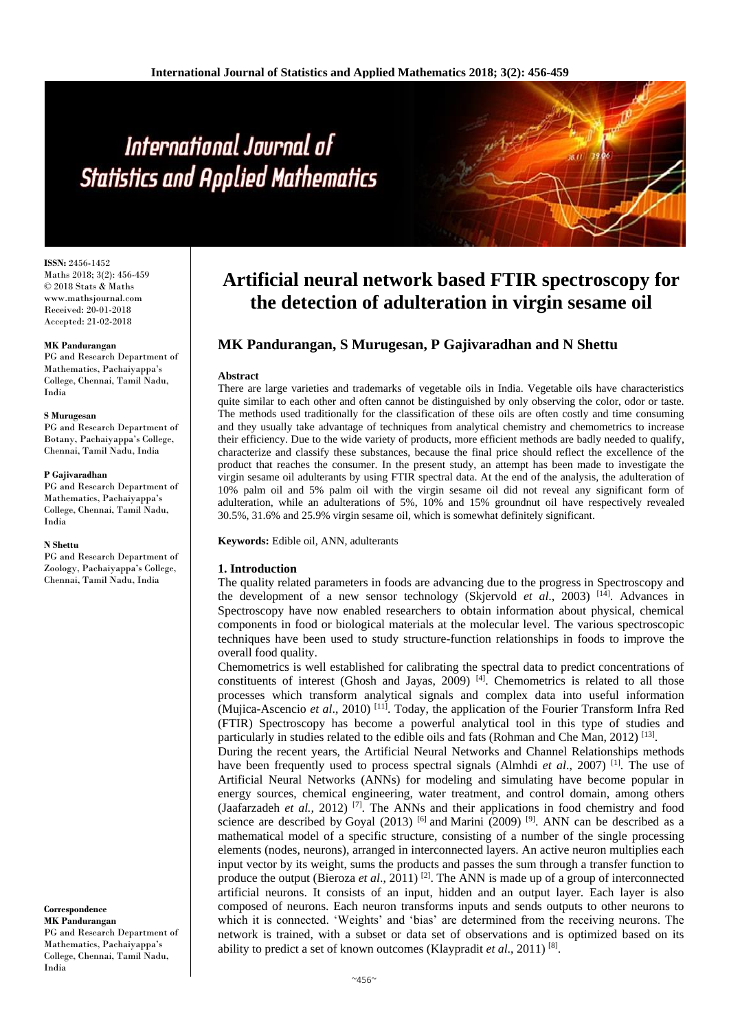# International Journal of **Statistics and Applied Mathematics**

**ISSN:** 2456-1452 Maths 2018; 3(2): 456-459 © 2018 Stats & Maths www.mathsjournal.com Received: 20-01-2018 Accepted: 21-02-2018

#### **MK Pandurangan**

PG and Research Department of Mathematics, Pachaiyappa's College, Chennai, Tamil Nadu, India

#### **S Murugesan**

PG and Research Department of Botany, Pachaiyappa's College, Chennai, Tamil Nadu, India

#### **P Gajivaradhan**

PG and Research Department of Mathematics, Pachaiyappa's College, Chennai, Tamil Nadu, India

#### **N Shettu**

PG and Research Department of Zoology, Pachaiyappa's College, Chennai, Tamil Nadu, India

**Correspondence MK Pandurangan** PG and Research Department of Mathematics, Pachaiyappa's College, Chennai, Tamil Nadu, India

# **Artificial neural network based FTIR spectroscopy for the detection of adulteration in virgin sesame oil**

# **MK Pandurangan, S Murugesan, P Gajivaradhan and N Shettu**

#### **Abstract**

There are large varieties and trademarks of vegetable oils in India. Vegetable oils have characteristics quite similar to each other and often cannot be distinguished by only observing the color, odor or taste. The methods used traditionally for the classification of these oils are often costly and time consuming and they usually take advantage of techniques from analytical chemistry and chemometrics to increase their efficiency. Due to the wide variety of products, more efficient methods are badly needed to qualify, characterize and classify these substances, because the final price should reflect the excellence of the product that reaches the consumer. In the present study, an attempt has been made to investigate the virgin sesame oil adulterants by using FTIR spectral data. At the end of the analysis, the adulteration of 10% palm oil and 5% palm oil with the virgin sesame oil did not reveal any significant form of adulteration, while an adulterations of 5%, 10% and 15% groundnut oil have respectively revealed 30.5%, 31.6% and 25.9% virgin sesame oil, which is somewhat definitely significant.

**Keywords:** Edible oil, ANN, adulterants

### **1. Introduction**

The quality related parameters in foods are advancing due to the progress in Spectroscopy and the development of a new sensor technology (Skjervold *et al*., 2003) [14]. Advances in Spectroscopy have now enabled researchers to obtain information about physical, chemical components in food or biological materials at the molecular level. The various spectroscopic techniques have been used to study structure-function relationships in foods to improve the overall food quality.

Chemometrics is well established for calibrating the spectral data to predict concentrations of constituents of interest (Ghosh and Jayas, 2009) [4]. Chemometrics is related to all those processes which transform analytical signals and complex data into useful information (Mujica-Ascencio *et al*., 2010) [11]. Today, the application of the Fourier Transform Infra Red (FTIR) Spectroscopy has become a powerful analytical tool in this type of studies and particularly in studies related to the edible oils and fats (Rohman and Che Man, 2012)<sup>[13]</sup>.

During the recent years, the Artificial Neural Networks and Channel Relationships methods have been frequently used to process spectral signals (Almhdi *et al*., 2007) [1]. The use of Artificial Neural Networks (ANNs) for modeling and simulating have become popular in energy sources, chemical engineering, water treatment, and control domain, among others (Jaafarzadeh *et al.*, 2012)<sup>[7]</sup>. The ANNs and their applications in food chemistry and food science are described by Goyal (2013) <sup>[6]</sup> and Marini (2009) <sup>[9]</sup>. ANN can be described as a mathematical model of a specific structure, consisting of a number of the single processing elements (nodes, neurons), arranged in interconnected layers. An active neuron multiplies each input vector by its weight, sums the products and passes the sum through a transfer function to produce the output (Bieroza *et al*., 2011) [2]. The ANN is made up of a group of interconnected artificial neurons. It consists of an input, hidden and an output layer. Each layer is also composed of neurons. Each neuron transforms inputs and sends outputs to other neurons to which it is connected. 'Weights' and 'bias' are determined from the receiving neurons. The network is trained, with a subset or data set of observations and is optimized based on its ability to predict a set of known outcomes (Klaypradit et al., 2011)<sup>[8]</sup>.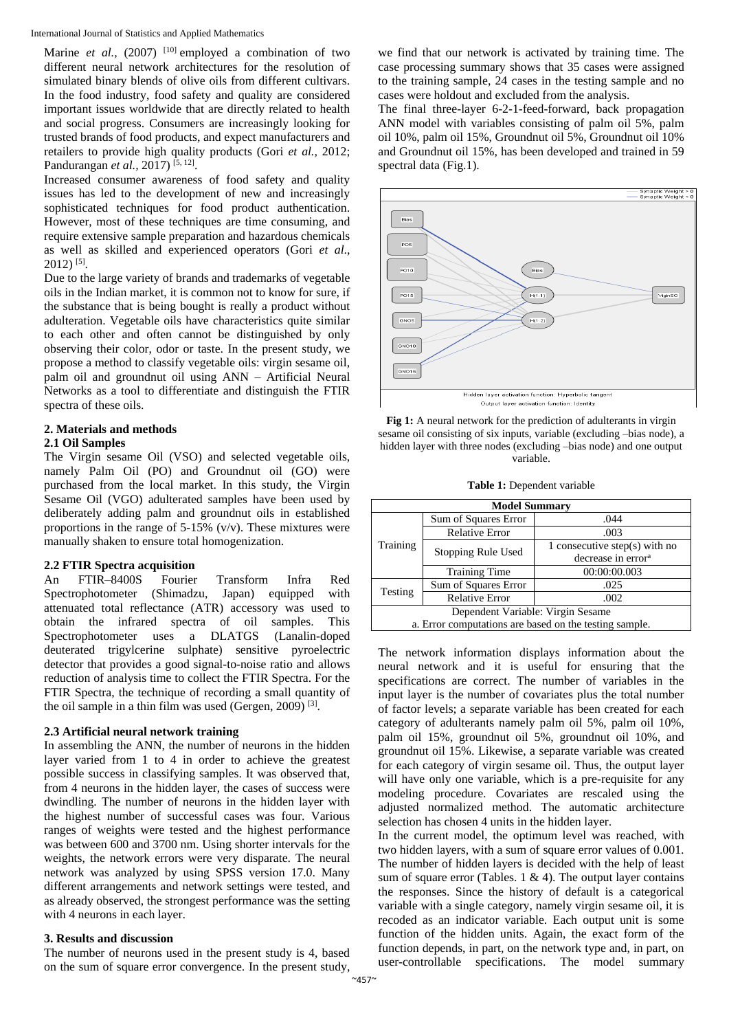Marine *et al.*, (2007) <sup>[10]</sup> employed a combination of two different neural network architectures for the resolution of simulated binary blends of olive oils from different cultivars. In the food industry, food safety and quality are considered important issues worldwide that are directly related to health and social progress. Consumers are increasingly looking for trusted brands of food products, and expect manufacturers and retailers to provide high quality products (Gori *et al.,* 2012; Pandurangan et al., 2017)<sup>[5, 12]</sup>.

Increased consumer awareness of food safety and quality issues has led to the development of new and increasingly sophisticated techniques for food product authentication. However, most of these techniques are time consuming, and require extensive sample preparation and hazardous chemicals as well as skilled and experienced operators (Gori *et al*.,  $2012$ )<sup>[5]</sup>.

Due to the large variety of brands and trademarks of vegetable oils in the Indian market, it is common not to know for sure, if the substance that is being bought is really a product without adulteration. Vegetable oils have characteristics quite similar to each other and often cannot be distinguished by only observing their color, odor or taste. In the present study, we propose a method to classify vegetable oils: virgin sesame oil, palm oil and groundnut oil using ANN – Artificial Neural Networks as a tool to differentiate and distinguish the FTIR spectra of these oils.

#### **2. Materials and methods 2.1 Oil Samples**

The Virgin sesame Oil (VSO) and selected vegetable oils, namely Palm Oil (PO) and Groundnut oil (GO) were purchased from the local market. In this study, the Virgin Sesame Oil (VGO) adulterated samples have been used by deliberately adding palm and groundnut oils in established proportions in the range of 5-15% (v/v). These mixtures were manually shaken to ensure total homogenization.

# **2.2 FTIR Spectra acquisition**

An FTIR–8400S Fourier Transform Infra Red Spectrophotometer (Shimadzu, Japan) equipped with attenuated total reflectance (ATR) accessory was used to obtain the infrared spectra of oil samples. This Spectrophotometer uses a DLATGS (Lanalin-doped deuterated trigylcerine sulphate) sensitive pyroelectric detector that provides a good signal-to-noise ratio and allows reduction of analysis time to collect the FTIR Spectra. For the FTIR Spectra, the technique of recording a small quantity of the oil sample in a thin film was used (Gergen, 2009)<sup>[3]</sup>.

## **2.3 Artificial neural network training**

In assembling the ANN, the number of neurons in the hidden layer varied from 1 to 4 in order to achieve the greatest possible success in classifying samples. It was observed that, from 4 neurons in the hidden layer, the cases of success were dwindling. The number of neurons in the hidden layer with the highest number of successful cases was four. Various ranges of weights were tested and the highest performance was between 600 and 3700 nm. Using shorter intervals for the weights, the network errors were very disparate. The neural network was analyzed by using SPSS version 17.0. Many different arrangements and network settings were tested, and as already observed, the strongest performance was the setting with 4 neurons in each layer.

### **3. Results and discussion**

The number of neurons used in the present study is 4, based on the sum of square error convergence. In the present study,

we find that our network is activated by training time. The case processing summary shows that 35 cases were assigned to the training sample, 24 cases in the testing sample and no cases were holdout and excluded from the analysis.

The final three-layer 6-2-1-feed-forward, back propagation ANN model with variables consisting of palm oil 5%, palm oil 10%, palm oil 15%, Groundnut oil 5%, Groundnut oil 10% and Groundnut oil 15%, has been developed and trained in 59 spectral data (Fig.1).



**Fig 1:** A neural network for the prediction of adulterants in virgin sesame oil consisting of six inputs, variable (excluding –bias node), a hidden layer with three nodes (excluding –bias node) and one output variable.

**Table 1:** Dependent variable

| <b>Model Summary</b>                                   |                       |                                                                 |  |  |  |
|--------------------------------------------------------|-----------------------|-----------------------------------------------------------------|--|--|--|
| Training                                               | Sum of Squares Error  | .044                                                            |  |  |  |
|                                                        | <b>Relative Error</b> | .003                                                            |  |  |  |
|                                                        | Stopping Rule Used    | 1 consecutive step(s) with no<br>decrease in error <sup>a</sup> |  |  |  |
|                                                        | <b>Training Time</b>  | 00:00:00.003                                                    |  |  |  |
| Testing                                                | Sum of Squares Error  | .025                                                            |  |  |  |
|                                                        | <b>Relative Error</b> | .002                                                            |  |  |  |
| Dependent Variable: Virgin Sesame                      |                       |                                                                 |  |  |  |
| a. Error computations are based on the testing sample. |                       |                                                                 |  |  |  |

The network information displays information about the neural network and it is useful for ensuring that the specifications are correct. The number of variables in the input layer is the number of covariates plus the total number of factor levels; a separate variable has been created for each category of adulterants namely palm oil 5%, palm oil 10%, palm oil 15%, groundnut oil 5%, groundnut oil 10%, and groundnut oil 15%. Likewise, a separate variable was created for each category of virgin sesame oil. Thus, the output layer will have only one variable, which is a pre-requisite for any modeling procedure. Covariates are rescaled using the adjusted normalized method. The automatic architecture selection has chosen 4 units in the hidden layer.

In the current model, the optimum level was reached, with two hidden layers, with a sum of square error values of 0.001. The number of hidden layers is decided with the help of least sum of square error (Tables. 1  $\&$  4). The output layer contains the responses. Since the history of default is a categorical variable with a single category, namely virgin sesame oil, it is recoded as an indicator variable. Each output unit is some function of the hidden units. Again, the exact form of the function depends, in part, on the network type and, in part, on user-controllable specifications. The model summary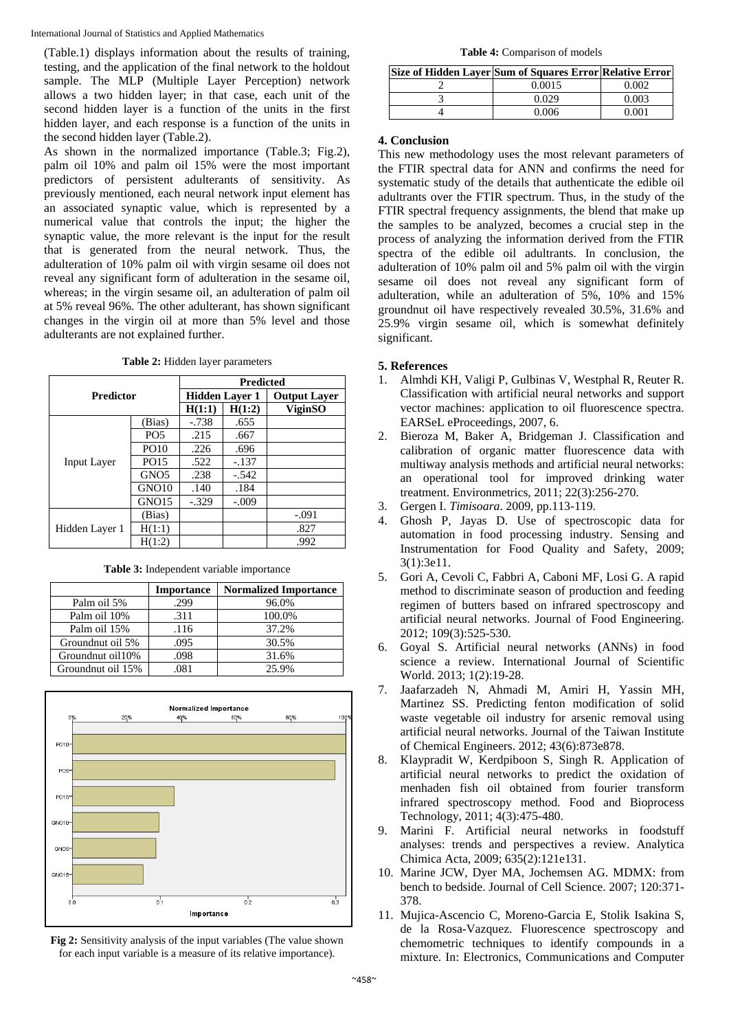International Journal of Statistics and Applied Mathematics

(Table.1) displays information about the results of training, testing, and the application of the final network to the holdout sample. The MLP (Multiple Layer Perception) network allows a two hidden layer; in that case, each unit of the second hidden layer is a function of the units in the first hidden layer, and each response is a function of the units in the second hidden layer (Table.2).

As shown in the normalized importance (Table.3; Fig.2), palm oil 10% and palm oil 15% were the most important predictors of persistent adulterants of sensitivity. As previously mentioned, each neural network input element has an associated synaptic value, which is represented by a numerical value that controls the input; the higher the synaptic value, the more relevant is the input for the result that is generated from the neural network. Thus, the adulteration of 10% palm oil with virgin sesame oil does not reveal any significant form of adulteration in the sesame oil, whereas; in the virgin sesame oil, an adulteration of palm oil at 5% reveal 96%. The other adulterant, has shown significant changes in the virgin oil at more than 5% level and those adulterants are not explained further.

**Table 2:** Hidden layer parameters

| <b>Predictor</b>   |                   | <b>Predicted</b>      |         |                     |
|--------------------|-------------------|-----------------------|---------|---------------------|
|                    |                   | <b>Hidden Layer 1</b> |         | <b>Output Layer</b> |
|                    |                   | H(1:1)                | H(1:2)  | ViginSO             |
|                    | (Bias)            | $-0.738$              | .655    |                     |
|                    | PO <sub>5</sub>   | .215                  | .667    |                     |
|                    | <b>PO10</b>       | .226                  | .696    |                     |
| <b>Input Layer</b> | PO15              | .522                  | $-.137$ |                     |
|                    | GNO <sub>5</sub>  | .238                  | $-.542$ |                     |
|                    | GNO <sub>10</sub> | .140                  | .184    |                     |
|                    | GNO <sub>15</sub> | $-.329$               | $-.009$ |                     |
|                    | (Bias)            |                       |         | $-.091$             |
| Hidden Laver 1     | H(1:1)            |                       |         | .827                |
|                    | H(1:2)            |                       |         | .992                |

**Table 3:** Independent variable importance

|                   | <b>Importance</b> | <b>Normalized Importance</b> |
|-------------------|-------------------|------------------------------|
| Palm oil 5%       | .299              | 96.0%                        |
| Palm oil 10%      | .311              | 100.0%                       |
| Palm oil 15%      | .116              | 37.2%                        |
| Groundnut oil 5%  | .095              | 30.5%                        |
| Groundnut oil10%  | .098              | 31.6%                        |
| Groundnut oil 15% | .081              | 25.9%                        |



**Fig 2:** Sensitivity analysis of the input variables (The value shown for each input variable is a measure of its relative importance).

**Table 4:** Comparison of models

| Size of Hidden Laver Sum of Squares Error Relative Error |       |
|----------------------------------------------------------|-------|
| 0.0015                                                   | Ი ᲘᲘ2 |
| 0.029                                                    | 0.003 |
| <u>በ በበɗ</u>                                             | 0 001 |

# **4. Conclusion**

This new methodology uses the most relevant parameters of the FTIR spectral data for ANN and confirms the need for systematic study of the details that authenticate the edible oil adultrants over the FTIR spectrum. Thus, in the study of the FTIR spectral frequency assignments, the blend that make up the samples to be analyzed, becomes a crucial step in the process of analyzing the information derived from the FTIR spectra of the edible oil adultrants. In conclusion, the adulteration of 10% palm oil and 5% palm oil with the virgin sesame oil does not reveal any significant form of adulteration, while an adulteration of 5%, 10% and 15% groundnut oil have respectively revealed 30.5%, 31.6% and 25.9% virgin sesame oil, which is somewhat definitely significant.

# **5. References**

- 1. Almhdi KH, Valigi P, Gulbinas V, Westphal R, Reuter R. Classification with artificial neural networks and support vector machines: application to oil fluorescence spectra. EARSeL eProceedings, 2007, 6.
- 2. Bieroza M, Baker A, Bridgeman J. Classification and calibration of organic matter fluorescence data with multiway analysis methods and artificial neural networks: an operational tool for improved drinking water treatment. Environmetrics, 2011; 22(3):256-270.
- 3. Gergen I. *Timisoara*. 2009, pp.113-119.
- 4. Ghosh P, Jayas D. Use of spectroscopic data for automation in food processing industry. Sensing and Instrumentation for Food Quality and Safety, 2009; 3(1):3e11.
- 5. Gori A, Cevoli C, Fabbri A, Caboni MF, Losi G. A rapid method to discriminate season of production and feeding regimen of butters based on infrared spectroscopy and artificial neural networks. Journal of Food Engineering. 2012; 109(3):525-530.
- 6. Goyal S. Artificial neural networks (ANNs) in food science a review. International Journal of Scientific World. 2013; 1(2):19-28.
- 7. Jaafarzadeh N, Ahmadi M, Amiri H, Yassin MH, Martinez SS. Predicting fenton modification of solid waste vegetable oil industry for arsenic removal using artificial neural networks. Journal of the Taiwan Institute of Chemical Engineers. 2012; 43(6):873e878.
- 8. Klaypradit W, Kerdpiboon S, Singh R. Application of artificial neural networks to predict the oxidation of menhaden fish oil obtained from fourier transform infrared spectroscopy method. Food and Bioprocess Technology, 2011; 4(3):475-480.
- 9. Marini F. Artificial neural networks in foodstuff analyses: trends and perspectives a review. Analytica Chimica Acta, 2009; 635(2):121e131.
- 10. Marine JCW, Dyer MA, Jochemsen AG. MDMX: from bench to bedside. Journal of Cell Science. 2007; 120:371- 378.
- 11. Mujica-Ascencio C, Moreno-Garcia E, Stolik Isakina S, de la Rosa-Vazquez. Fluorescence spectroscopy and chemometric techniques to identify compounds in a mixture. In: Electronics, Communications and Computer